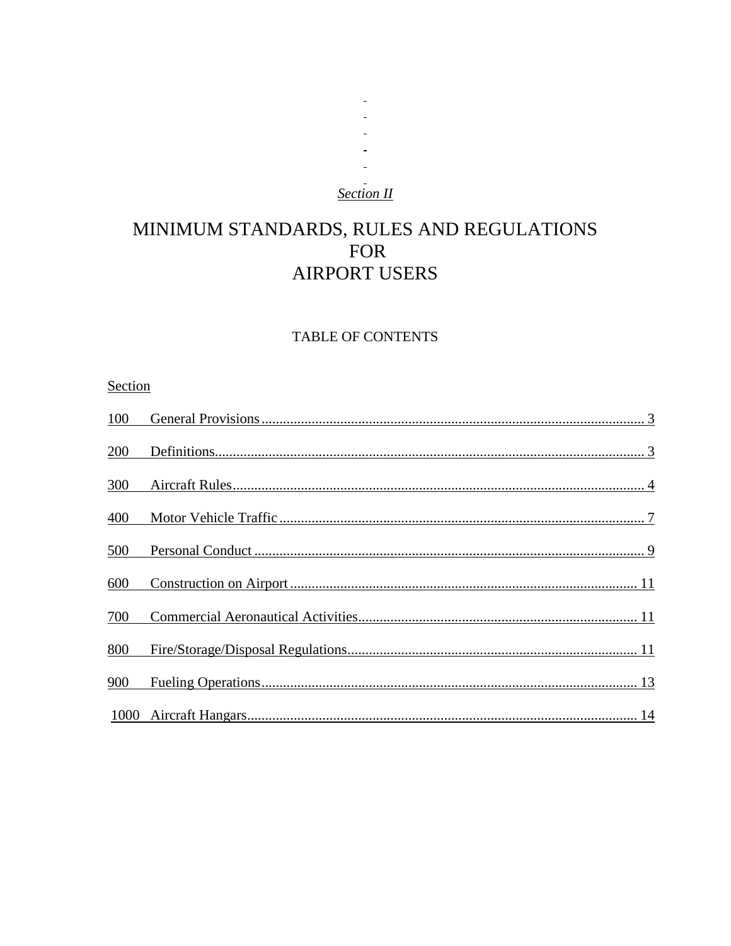## **Section II**

 $\overline{\phantom{a}}$  $\overline{a}$  $\sim$ 

# MINIMUM STANDARDS, RULES AND REGULATIONS FOR **AIRPORT USERS**

## TABLE OF CONTENTS

## Section

| 100  |  |
|------|--|
| 200  |  |
| 300  |  |
| 400  |  |
| 500  |  |
| 600  |  |
| 700  |  |
| 800  |  |
| 900  |  |
| 1000 |  |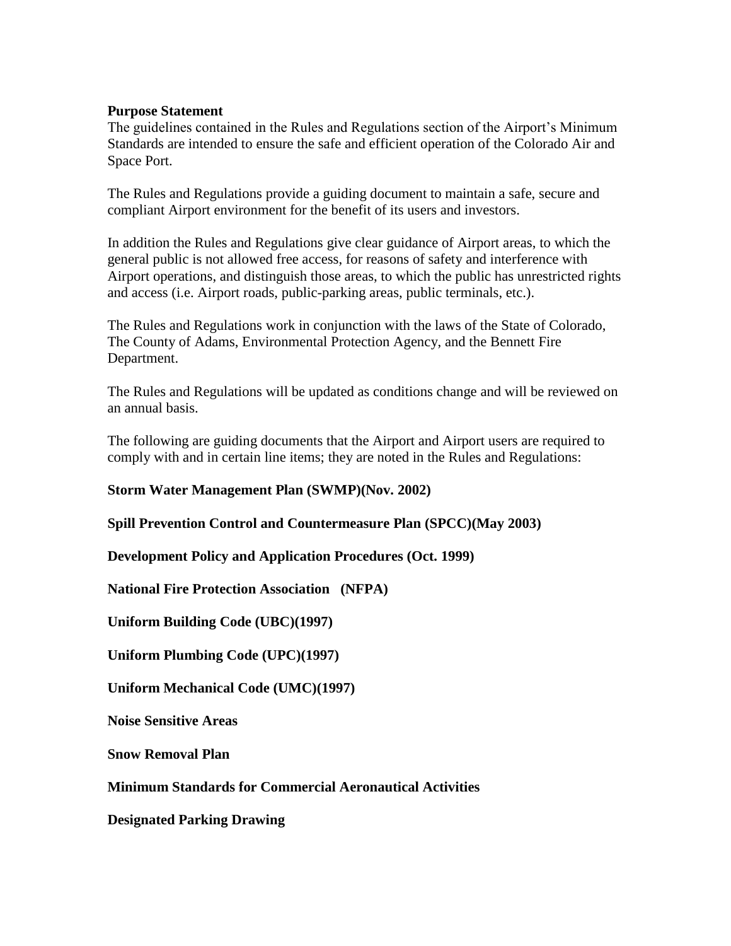## **Purpose Statement**

The guidelines contained in the Rules and Regulations section of the Airport's Minimum Standards are intended to ensure the safe and efficient operation of the Colorado Air and Space Port.

The Rules and Regulations provide a guiding document to maintain a safe, secure and compliant Airport environment for the benefit of its users and investors.

In addition the Rules and Regulations give clear guidance of Airport areas, to which the general public is not allowed free access, for reasons of safety and interference with Airport operations, and distinguish those areas, to which the public has unrestricted rights and access (i.e. Airport roads, public-parking areas, public terminals, etc.).

The Rules and Regulations work in conjunction with the laws of the State of Colorado, The County of Adams, Environmental Protection Agency, and the Bennett Fire Department.

The Rules and Regulations will be updated as conditions change and will be reviewed on an annual basis.

The following are guiding documents that the Airport and Airport users are required to comply with and in certain line items; they are noted in the Rules and Regulations:

## **Storm Water Management Plan (SWMP)(Nov. 2002)**

**Spill Prevention Control and Countermeasure Plan (SPCC)(May 2003)**

**Development Policy and Application Procedures (Oct. 1999)**

**National Fire Protection Association (NFPA)**

**Uniform Building Code (UBC)(1997)**

**Uniform Plumbing Code (UPC)(1997)**

**Uniform Mechanical Code (UMC)(1997)**

**Noise Sensitive Areas**

**Snow Removal Plan**

**Minimum Standards for Commercial Aeronautical Activities**

**Designated Parking Drawing**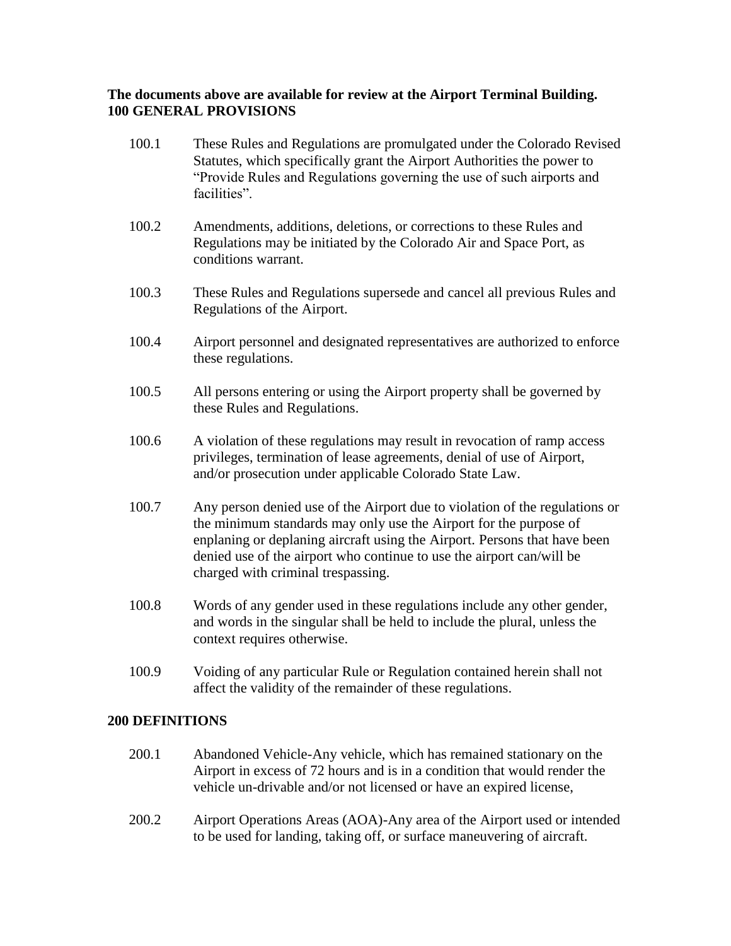## **The documents above are available for review at the Airport Terminal Building. 100 GENERAL PROVISIONS**

- 100.1 These Rules and Regulations are promulgated under the Colorado Revised Statutes, which specifically grant the Airport Authorities the power to "Provide Rules and Regulations governing the use of such airports and facilities".
- 100.2 Amendments, additions, deletions, or corrections to these Rules and Regulations may be initiated by the Colorado Air and Space Port, as conditions warrant.
- 100.3 These Rules and Regulations supersede and cancel all previous Rules and Regulations of the Airport.
- 100.4 Airport personnel and designated representatives are authorized to enforce these regulations.
- 100.5 All persons entering or using the Airport property shall be governed by these Rules and Regulations.
- 100.6 A violation of these regulations may result in revocation of ramp access privileges, termination of lease agreements, denial of use of Airport, and/or prosecution under applicable Colorado State Law.
- 100.7 Any person denied use of the Airport due to violation of the regulations or the minimum standards may only use the Airport for the purpose of enplaning or deplaning aircraft using the Airport. Persons that have been denied use of the airport who continue to use the airport can/will be charged with criminal trespassing.
- 100.8 Words of any gender used in these regulations include any other gender, and words in the singular shall be held to include the plural, unless the context requires otherwise.
- 100.9 Voiding of any particular Rule or Regulation contained herein shall not affect the validity of the remainder of these regulations.

## **200 DEFINITIONS**

- 200.1 Abandoned Vehicle-Any vehicle, which has remained stationary on the Airport in excess of 72 hours and is in a condition that would render the vehicle un-drivable and/or not licensed or have an expired license,
- 200.2 Airport Operations Areas (AOA)-Any area of the Airport used or intended to be used for landing, taking off, or surface maneuvering of aircraft.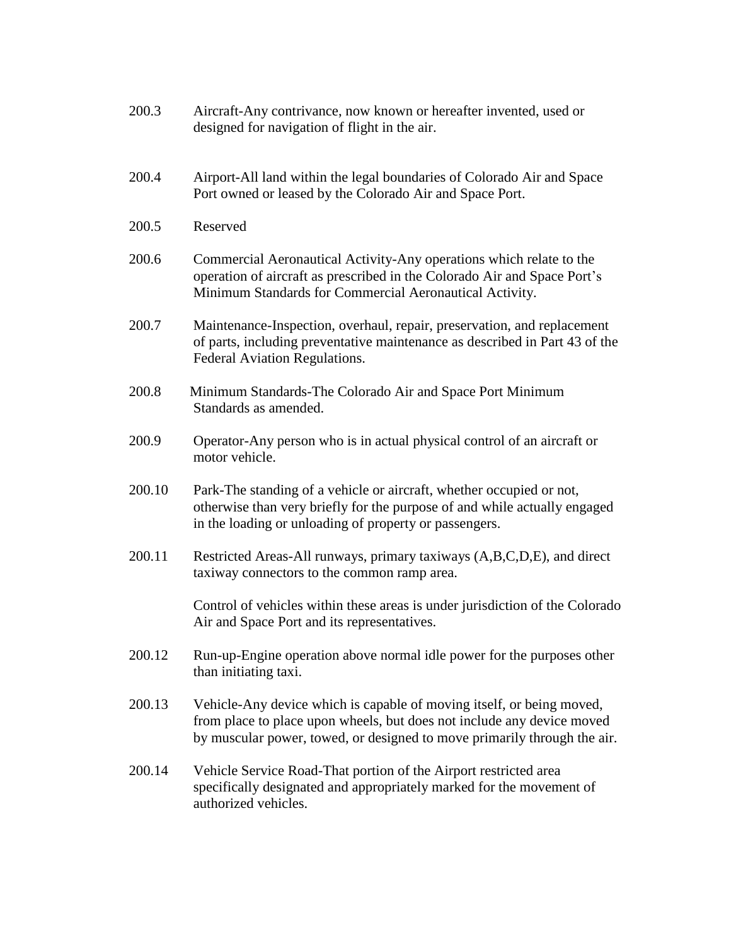| 200.3  | Aircraft-Any contrivance, now known or hereafter invented, used or<br>designed for navigation of flight in the air.                                                                                                         |
|--------|-----------------------------------------------------------------------------------------------------------------------------------------------------------------------------------------------------------------------------|
| 200.4  | Airport-All land within the legal boundaries of Colorado Air and Space<br>Port owned or leased by the Colorado Air and Space Port.                                                                                          |
| 200.5  | Reserved                                                                                                                                                                                                                    |
| 200.6  | Commercial Aeronautical Activity-Any operations which relate to the<br>operation of aircraft as prescribed in the Colorado Air and Space Port's<br>Minimum Standards for Commercial Aeronautical Activity.                  |
| 200.7  | Maintenance-Inspection, overhaul, repair, preservation, and replacement<br>of parts, including preventative maintenance as described in Part 43 of the<br>Federal Aviation Regulations.                                     |
| 200.8  | Minimum Standards-The Colorado Air and Space Port Minimum<br>Standards as amended.                                                                                                                                          |
| 200.9  | Operator-Any person who is in actual physical control of an aircraft or<br>motor vehicle.                                                                                                                                   |
| 200.10 | Park-The standing of a vehicle or aircraft, whether occupied or not,<br>otherwise than very briefly for the purpose of and while actually engaged<br>in the loading or unloading of property or passengers.                 |
| 200.11 | Restricted Areas-All runways, primary taxiways (A,B,C,D,E), and direct<br>taxiway connectors to the common ramp area.                                                                                                       |
|        | Control of vehicles within these areas is under jurisdiction of the Colorado<br>Air and Space Port and its representatives.                                                                                                 |
| 200.12 | Run-up-Engine operation above normal idle power for the purposes other<br>than initiating taxi.                                                                                                                             |
| 200.13 | Vehicle-Any device which is capable of moving itself, or being moved,<br>from place to place upon wheels, but does not include any device moved<br>by muscular power, towed, or designed to move primarily through the air. |
| 200.14 | Vehicle Service Road-That portion of the Airport restricted area<br>specifically designated and appropriately marked for the movement of<br>authorized vehicles.                                                            |
|        |                                                                                                                                                                                                                             |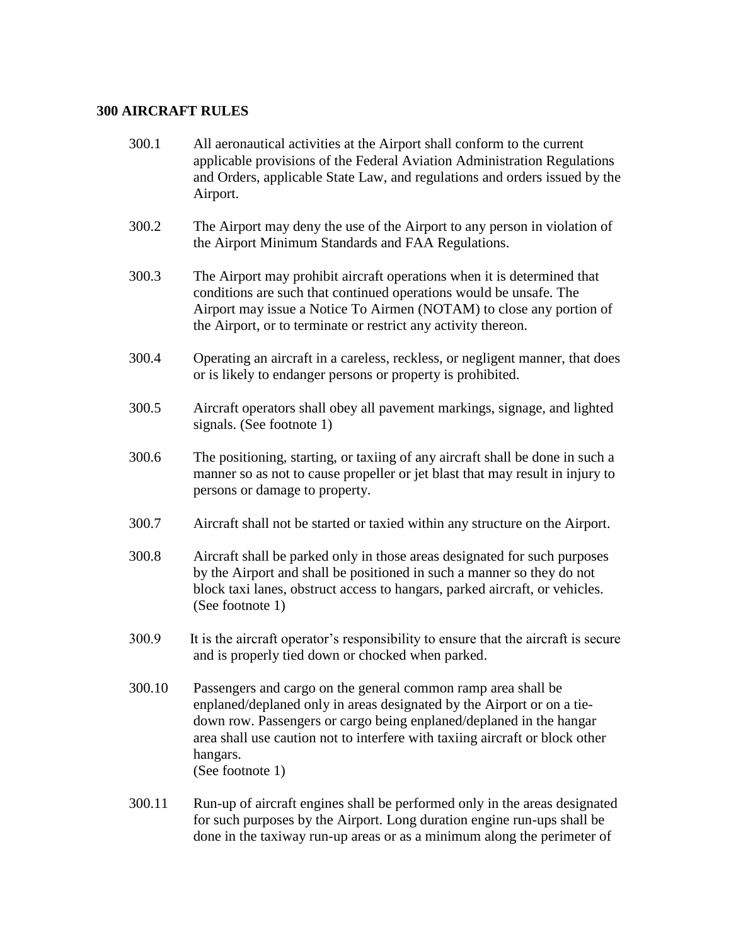#### **300 AIRCRAFT RULES**

- 300.1 All aeronautical activities at the Airport shall conform to the current applicable provisions of the Federal Aviation Administration Regulations and Orders, applicable State Law, and regulations and orders issued by the Airport.
- 300.2 The Airport may deny the use of the Airport to any person in violation of the Airport Minimum Standards and FAA Regulations.
- 300.3 The Airport may prohibit aircraft operations when it is determined that conditions are such that continued operations would be unsafe. The Airport may issue a Notice To Airmen (NOTAM) to close any portion of the Airport, or to terminate or restrict any activity thereon.
- 300.4 Operating an aircraft in a careless, reckless, or negligent manner, that does or is likely to endanger persons or property is prohibited.
- 300.5 Aircraft operators shall obey all pavement markings, signage, and lighted signals. (See footnote 1)
- 300.6 The positioning, starting, or taxiing of any aircraft shall be done in such a manner so as not to cause propeller or jet blast that may result in injury to persons or damage to property.
- 300.7 Aircraft shall not be started or taxied within any structure on the Airport.
- 300.8 Aircraft shall be parked only in those areas designated for such purposes by the Airport and shall be positioned in such a manner so they do not block taxi lanes, obstruct access to hangars, parked aircraft, or vehicles. (See footnote 1)
- 300.9 It is the aircraft operator's responsibility to ensure that the aircraft is secure and is properly tied down or chocked when parked.
- 300.10 Passengers and cargo on the general common ramp area shall be enplaned/deplaned only in areas designated by the Airport or on a tiedown row. Passengers or cargo being enplaned/deplaned in the hangar area shall use caution not to interfere with taxiing aircraft or block other hangars. (See footnote 1)
- 300.11 Run-up of aircraft engines shall be performed only in the areas designated for such purposes by the Airport. Long duration engine run-ups shall be done in the taxiway run-up areas or as a minimum along the perimeter of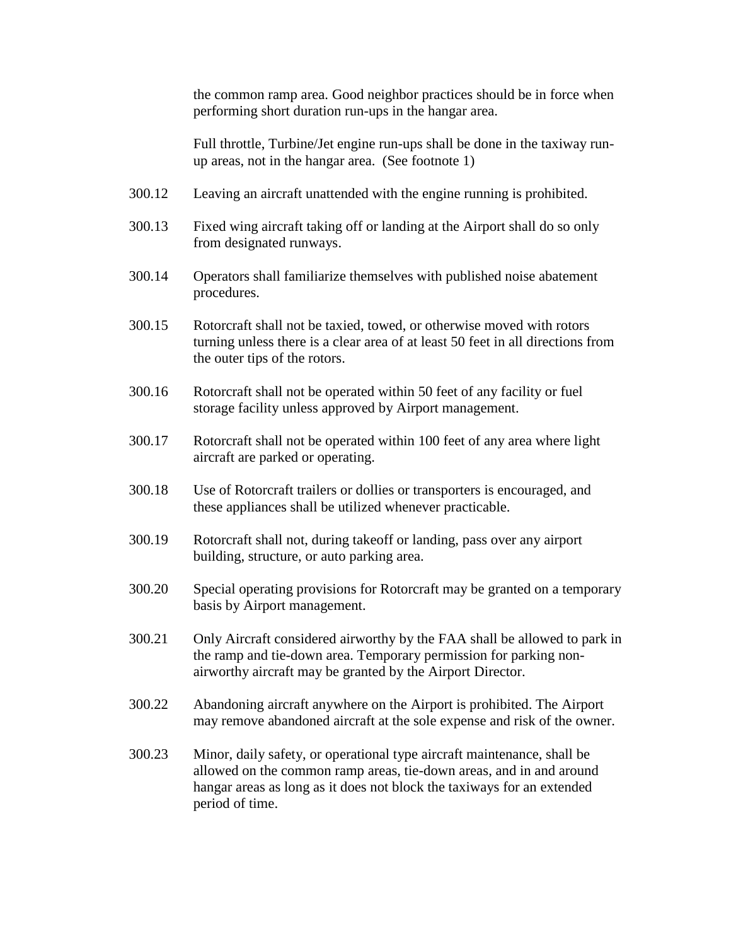the common ramp area. Good neighbor practices should be in force when performing short duration run-ups in the hangar area.

Full throttle, Turbine/Jet engine run-ups shall be done in the taxiway runup areas, not in the hangar area. (See footnote 1)

- 300.12 Leaving an aircraft unattended with the engine running is prohibited.
- 300.13 Fixed wing aircraft taking off or landing at the Airport shall do so only from designated runways.
- 300.14 Operators shall familiarize themselves with published noise abatement procedures.
- 300.15 Rotorcraft shall not be taxied, towed, or otherwise moved with rotors turning unless there is a clear area of at least 50 feet in all directions from the outer tips of the rotors.
- 300.16 Rotorcraft shall not be operated within 50 feet of any facility or fuel storage facility unless approved by Airport management.
- 300.17 Rotorcraft shall not be operated within 100 feet of any area where light aircraft are parked or operating.
- 300.18 Use of Rotorcraft trailers or dollies or transporters is encouraged, and these appliances shall be utilized whenever practicable.
- 300.19 Rotorcraft shall not, during takeoff or landing, pass over any airport building, structure, or auto parking area.
- 300.20 Special operating provisions for Rotorcraft may be granted on a temporary basis by Airport management.
- 300.21 Only Aircraft considered airworthy by the FAA shall be allowed to park in the ramp and tie-down area. Temporary permission for parking nonairworthy aircraft may be granted by the Airport Director.
- 300.22 Abandoning aircraft anywhere on the Airport is prohibited. The Airport may remove abandoned aircraft at the sole expense and risk of the owner.
- 300.23 Minor, daily safety, or operational type aircraft maintenance, shall be allowed on the common ramp areas, tie-down areas, and in and around hangar areas as long as it does not block the taxiways for an extended period of time.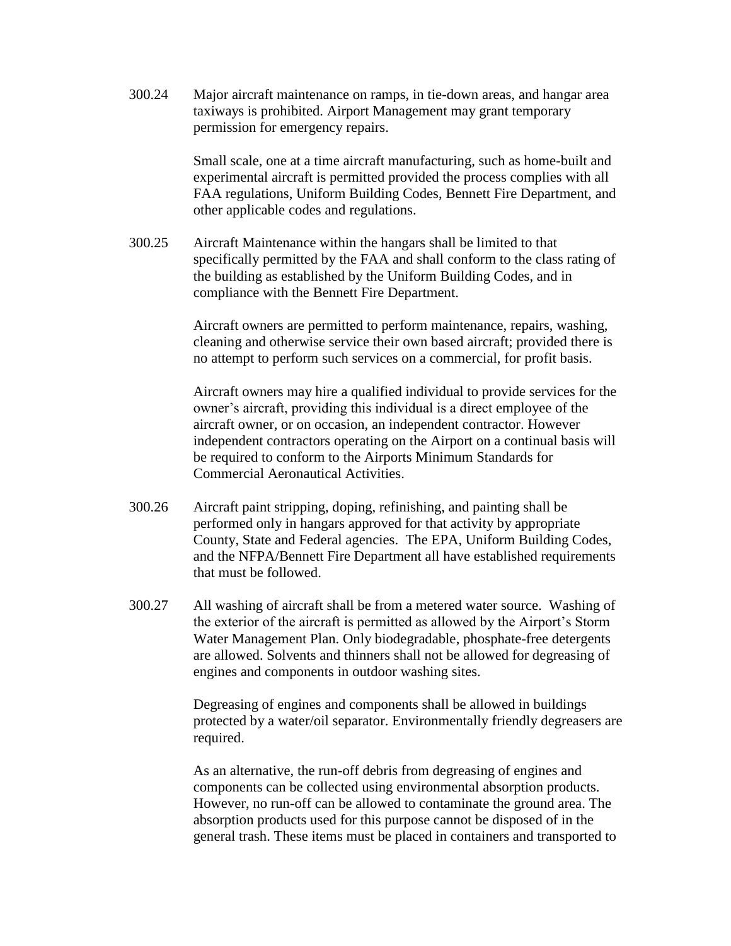300.24 Major aircraft maintenance on ramps, in tie-down areas, and hangar area taxiways is prohibited. Airport Management may grant temporary permission for emergency repairs.

> Small scale, one at a time aircraft manufacturing, such as home-built and experimental aircraft is permitted provided the process complies with all FAA regulations, Uniform Building Codes, Bennett Fire Department, and other applicable codes and regulations.

300.25 Aircraft Maintenance within the hangars shall be limited to that specifically permitted by the FAA and shall conform to the class rating of the building as established by the Uniform Building Codes, and in compliance with the Bennett Fire Department.

> Aircraft owners are permitted to perform maintenance, repairs, washing, cleaning and otherwise service their own based aircraft; provided there is no attempt to perform such services on a commercial, for profit basis.

> Aircraft owners may hire a qualified individual to provide services for the owner's aircraft, providing this individual is a direct employee of the aircraft owner, or on occasion, an independent contractor. However independent contractors operating on the Airport on a continual basis will be required to conform to the Airports Minimum Standards for Commercial Aeronautical Activities.

- 300.26 Aircraft paint stripping, doping, refinishing, and painting shall be performed only in hangars approved for that activity by appropriate County, State and Federal agencies. The EPA, Uniform Building Codes, and the NFPA/Bennett Fire Department all have established requirements that must be followed.
- 300.27 All washing of aircraft shall be from a metered water source. Washing of the exterior of the aircraft is permitted as allowed by the Airport's Storm Water Management Plan. Only biodegradable, phosphate-free detergents are allowed. Solvents and thinners shall not be allowed for degreasing of engines and components in outdoor washing sites.

Degreasing of engines and components shall be allowed in buildings protected by a water/oil separator. Environmentally friendly degreasers are required.

As an alternative, the run-off debris from degreasing of engines and components can be collected using environmental absorption products. However, no run-off can be allowed to contaminate the ground area. The absorption products used for this purpose cannot be disposed of in the general trash. These items must be placed in containers and transported to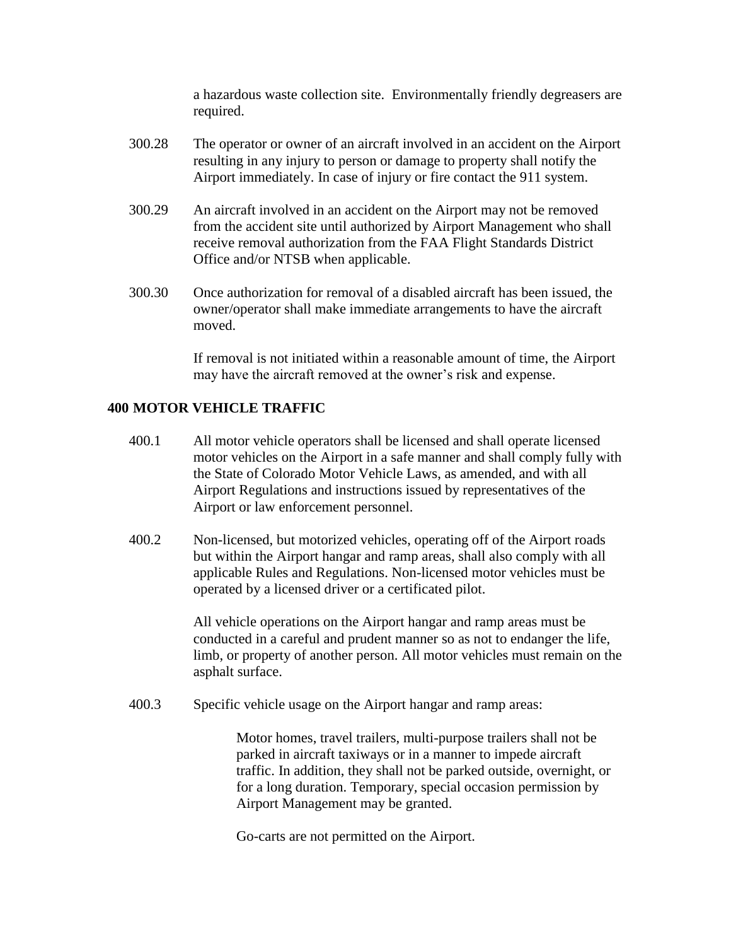a hazardous waste collection site. Environmentally friendly degreasers are required.

- 300.28 The operator or owner of an aircraft involved in an accident on the Airport resulting in any injury to person or damage to property shall notify the Airport immediately. In case of injury or fire contact the 911 system.
- 300.29 An aircraft involved in an accident on the Airport may not be removed from the accident site until authorized by Airport Management who shall receive removal authorization from the FAA Flight Standards District Office and/or NTSB when applicable.
- 300.30 Once authorization for removal of a disabled aircraft has been issued, the owner/operator shall make immediate arrangements to have the aircraft moved.

If removal is not initiated within a reasonable amount of time, the Airport may have the aircraft removed at the owner's risk and expense.

## **400 MOTOR VEHICLE TRAFFIC**

- 400.1 All motor vehicle operators shall be licensed and shall operate licensed motor vehicles on the Airport in a safe manner and shall comply fully with the State of Colorado Motor Vehicle Laws, as amended, and with all Airport Regulations and instructions issued by representatives of the Airport or law enforcement personnel.
- 400.2 Non-licensed, but motorized vehicles, operating off of the Airport roads but within the Airport hangar and ramp areas, shall also comply with all applicable Rules and Regulations. Non-licensed motor vehicles must be operated by a licensed driver or a certificated pilot.

All vehicle operations on the Airport hangar and ramp areas must be conducted in a careful and prudent manner so as not to endanger the life, limb, or property of another person. All motor vehicles must remain on the asphalt surface.

400.3 Specific vehicle usage on the Airport hangar and ramp areas:

Motor homes, travel trailers, multi-purpose trailers shall not be parked in aircraft taxiways or in a manner to impede aircraft traffic. In addition, they shall not be parked outside, overnight, or for a long duration. Temporary, special occasion permission by Airport Management may be granted.

Go-carts are not permitted on the Airport.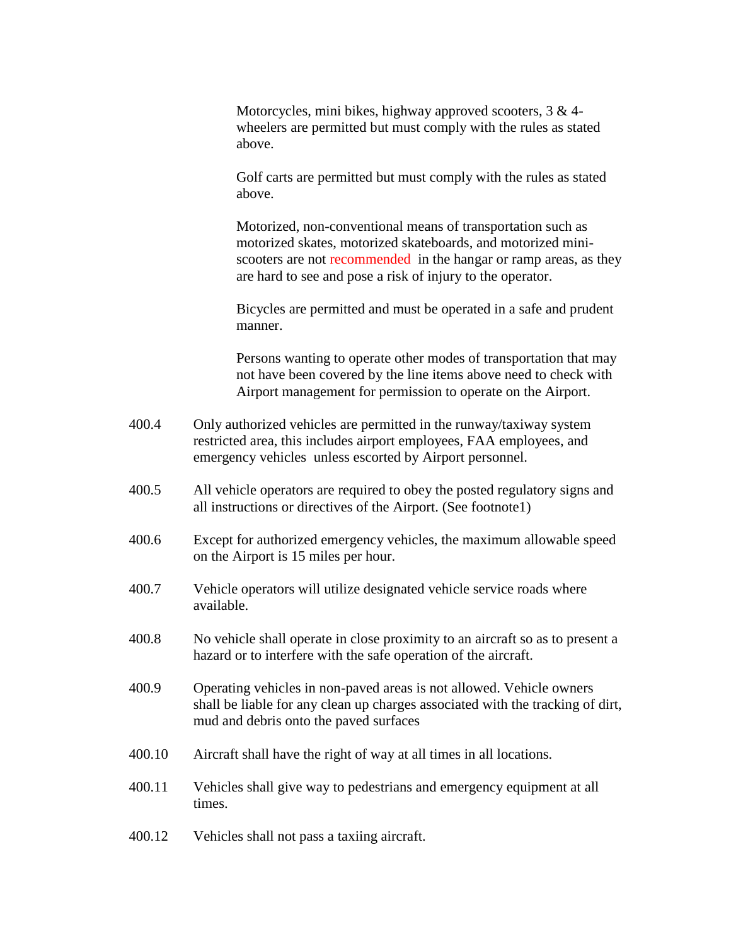Motorcycles, mini bikes, highway approved scooters,  $3 \& 4$ wheelers are permitted but must comply with the rules as stated above.

Golf carts are permitted but must comply with the rules as stated above.

Motorized, non-conventional means of transportation such as motorized skates, motorized skateboards, and motorized miniscooters are not recommended in the hangar or ramp areas, as they are hard to see and pose a risk of injury to the operator.

Bicycles are permitted and must be operated in a safe and prudent manner.

Persons wanting to operate other modes of transportation that may not have been covered by the line items above need to check with Airport management for permission to operate on the Airport.

- 400.4 Only authorized vehicles are permitted in the runway/taxiway system restricted area, this includes airport employees, FAA employees, and emergency vehicles unless escorted by Airport personnel.
- 400.5 All vehicle operators are required to obey the posted regulatory signs and all instructions or directives of the Airport. (See footnote1)
- 400.6 Except for authorized emergency vehicles, the maximum allowable speed on the Airport is 15 miles per hour.
- 400.7 Vehicle operators will utilize designated vehicle service roads where available.
- 400.8 No vehicle shall operate in close proximity to an aircraft so as to present a hazard or to interfere with the safe operation of the aircraft.
- 400.9 Operating vehicles in non-paved areas is not allowed. Vehicle owners shall be liable for any clean up charges associated with the tracking of dirt, mud and debris onto the paved surfaces
- 400.10 Aircraft shall have the right of way at all times in all locations.
- 400.11 Vehicles shall give way to pedestrians and emergency equipment at all times.
- 400.12 Vehicles shall not pass a taxiing aircraft.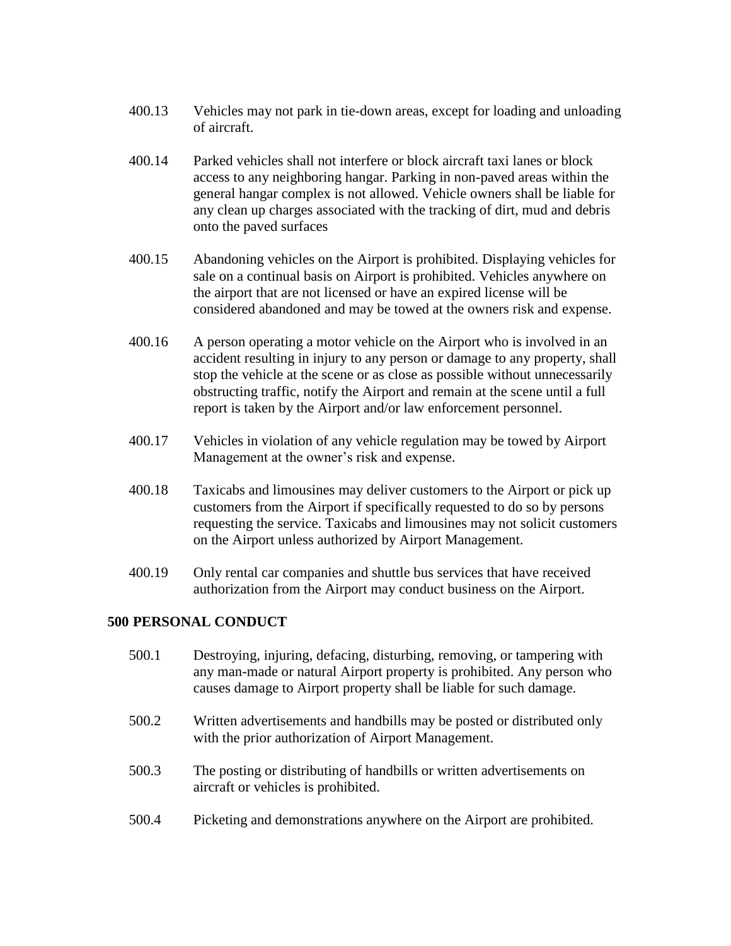- 400.13 Vehicles may not park in tie-down areas, except for loading and unloading of aircraft.
- 400.14 Parked vehicles shall not interfere or block aircraft taxi lanes or block access to any neighboring hangar. Parking in non-paved areas within the general hangar complex is not allowed. Vehicle owners shall be liable for any clean up charges associated with the tracking of dirt, mud and debris onto the paved surfaces
- 400.15 Abandoning vehicles on the Airport is prohibited. Displaying vehicles for sale on a continual basis on Airport is prohibited. Vehicles anywhere on the airport that are not licensed or have an expired license will be considered abandoned and may be towed at the owners risk and expense.
- 400.16 A person operating a motor vehicle on the Airport who is involved in an accident resulting in injury to any person or damage to any property, shall stop the vehicle at the scene or as close as possible without unnecessarily obstructing traffic, notify the Airport and remain at the scene until a full report is taken by the Airport and/or law enforcement personnel.
- 400.17 Vehicles in violation of any vehicle regulation may be towed by Airport Management at the owner's risk and expense.
- 400.18 Taxicabs and limousines may deliver customers to the Airport or pick up customers from the Airport if specifically requested to do so by persons requesting the service. Taxicabs and limousines may not solicit customers on the Airport unless authorized by Airport Management.
- 400.19 Only rental car companies and shuttle bus services that have received authorization from the Airport may conduct business on the Airport.

## **500 PERSONAL CONDUCT**

500.1 Destroying, injuring, defacing, disturbing, removing, or tampering with any man-made or natural Airport property is prohibited. Any person who causes damage to Airport property shall be liable for such damage. 500.2 Written advertisements and handbills may be posted or distributed only with the prior authorization of Airport Management. 500.3 The posting or distributing of handbills or written advertisements on aircraft or vehicles is prohibited. 500.4 Picketing and demonstrations anywhere on the Airport are prohibited.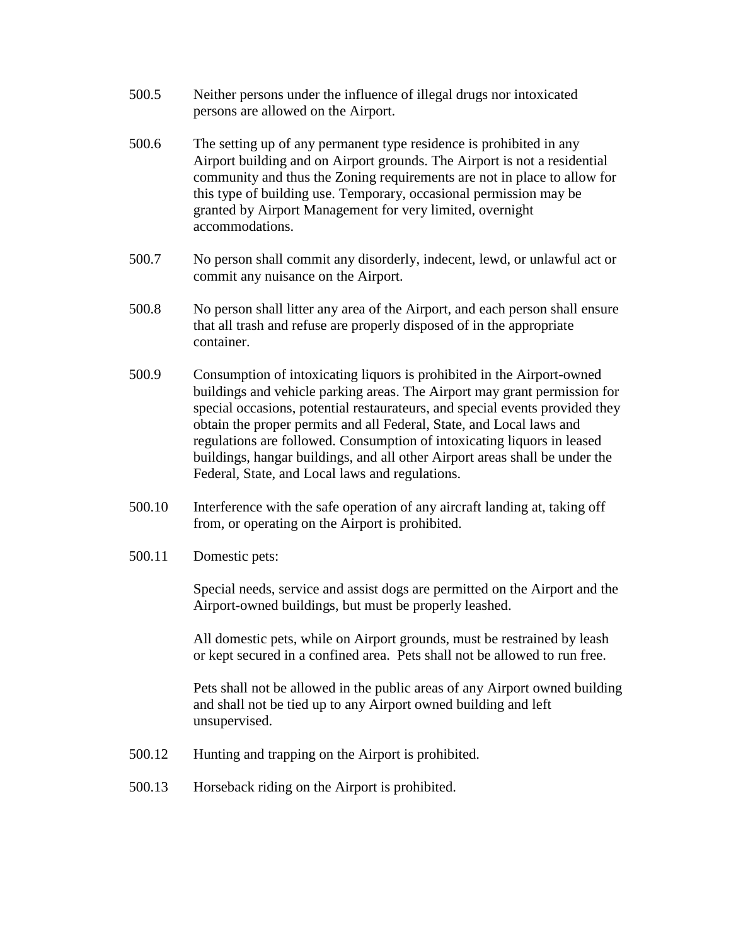- 500.5 Neither persons under the influence of illegal drugs nor intoxicated persons are allowed on the Airport.
- 500.6 The setting up of any permanent type residence is prohibited in any Airport building and on Airport grounds. The Airport is not a residential community and thus the Zoning requirements are not in place to allow for this type of building use. Temporary, occasional permission may be granted by Airport Management for very limited, overnight accommodations.
- 500.7 No person shall commit any disorderly, indecent, lewd, or unlawful act or commit any nuisance on the Airport.
- 500.8 No person shall litter any area of the Airport, and each person shall ensure that all trash and refuse are properly disposed of in the appropriate container.
- 500.9 Consumption of intoxicating liquors is prohibited in the Airport-owned buildings and vehicle parking areas. The Airport may grant permission for special occasions, potential restaurateurs, and special events provided they obtain the proper permits and all Federal, State, and Local laws and regulations are followed. Consumption of intoxicating liquors in leased buildings, hangar buildings, and all other Airport areas shall be under the Federal, State, and Local laws and regulations.
- 500.10 Interference with the safe operation of any aircraft landing at, taking off from, or operating on the Airport is prohibited.
- 500.11 Domestic pets:

Special needs, service and assist dogs are permitted on the Airport and the Airport-owned buildings, but must be properly leashed.

All domestic pets, while on Airport grounds, must be restrained by leash or kept secured in a confined area. Pets shall not be allowed to run free.

Pets shall not be allowed in the public areas of any Airport owned building and shall not be tied up to any Airport owned building and left unsupervised.

- 500.12 Hunting and trapping on the Airport is prohibited.
- 500.13 Horseback riding on the Airport is prohibited.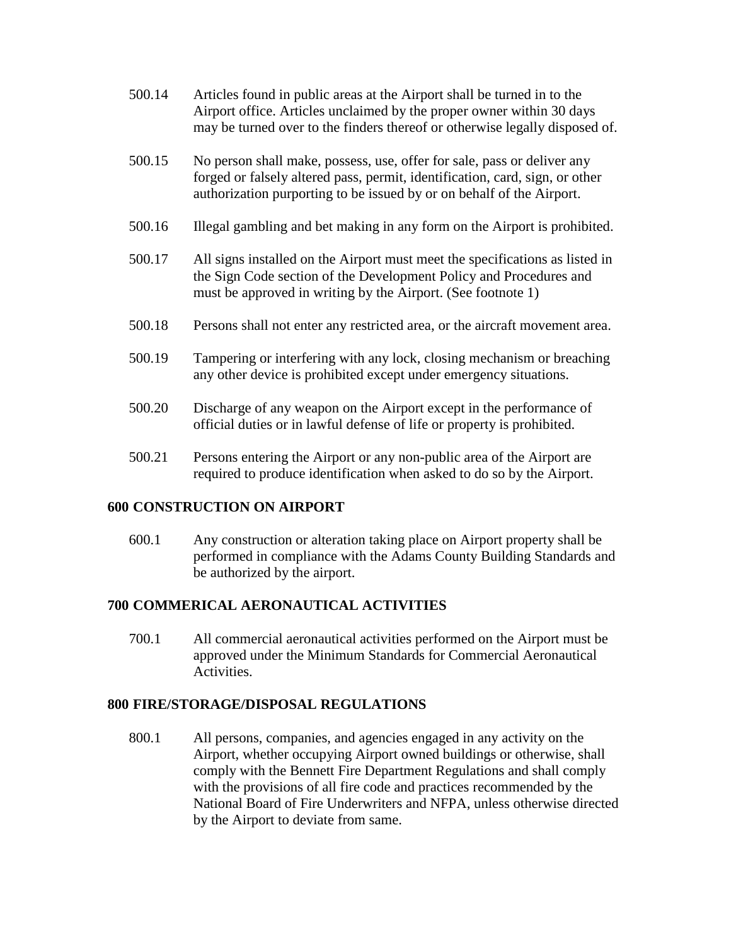- 500.14 Articles found in public areas at the Airport shall be turned in to the Airport office. Articles unclaimed by the proper owner within 30 days may be turned over to the finders thereof or otherwise legally disposed of.
- 500.15 No person shall make, possess, use, offer for sale, pass or deliver any forged or falsely altered pass, permit, identification, card, sign, or other authorization purporting to be issued by or on behalf of the Airport.
- 500.16 Illegal gambling and bet making in any form on the Airport is prohibited.
- 500.17 All signs installed on the Airport must meet the specifications as listed in the Sign Code section of the Development Policy and Procedures and must be approved in writing by the Airport. (See footnote 1)
- 500.18 Persons shall not enter any restricted area, or the aircraft movement area.
- 500.19 Tampering or interfering with any lock, closing mechanism or breaching any other device is prohibited except under emergency situations.
- 500.20 Discharge of any weapon on the Airport except in the performance of official duties or in lawful defense of life or property is prohibited.
- 500.21 Persons entering the Airport or any non-public area of the Airport are required to produce identification when asked to do so by the Airport.

## **600 CONSTRUCTION ON AIRPORT**

600.1 Any construction or alteration taking place on Airport property shall be performed in compliance with the Adams County Building Standards and be authorized by the airport.

## **700 COMMERICAL AERONAUTICAL ACTIVITIES**

700.1 All commercial aeronautical activities performed on the Airport must be approved under the Minimum Standards for Commercial Aeronautical Activities.

## **800 FIRE/STORAGE/DISPOSAL REGULATIONS**

800.1 All persons, companies, and agencies engaged in any activity on the Airport, whether occupying Airport owned buildings or otherwise, shall comply with the Bennett Fire Department Regulations and shall comply with the provisions of all fire code and practices recommended by the National Board of Fire Underwriters and NFPA, unless otherwise directed by the Airport to deviate from same.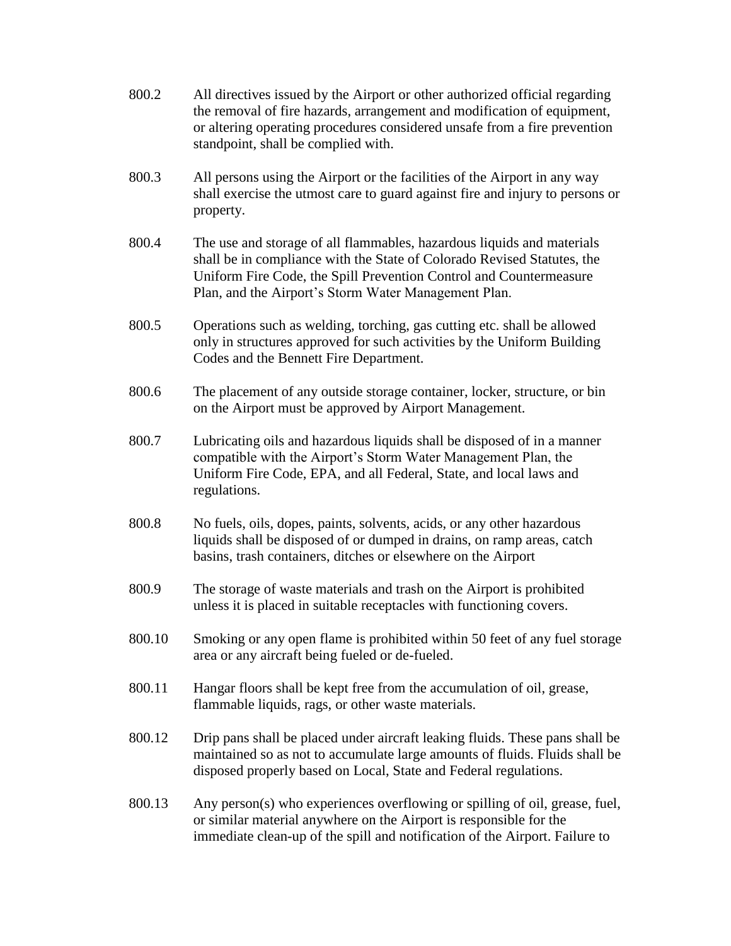- 800.2 All directives issued by the Airport or other authorized official regarding the removal of fire hazards, arrangement and modification of equipment, or altering operating procedures considered unsafe from a fire prevention standpoint, shall be complied with.
- 800.3 All persons using the Airport or the facilities of the Airport in any way shall exercise the utmost care to guard against fire and injury to persons or property.
- 800.4 The use and storage of all flammables, hazardous liquids and materials shall be in compliance with the State of Colorado Revised Statutes, the Uniform Fire Code, the Spill Prevention Control and Countermeasure Plan, and the Airport's Storm Water Management Plan.
- 800.5 Operations such as welding, torching, gas cutting etc. shall be allowed only in structures approved for such activities by the Uniform Building Codes and the Bennett Fire Department.
- 800.6 The placement of any outside storage container, locker, structure, or bin on the Airport must be approved by Airport Management.
- 800.7 Lubricating oils and hazardous liquids shall be disposed of in a manner compatible with the Airport's Storm Water Management Plan, the Uniform Fire Code, EPA, and all Federal, State, and local laws and regulations.
- 800.8 No fuels, oils, dopes, paints, solvents, acids, or any other hazardous liquids shall be disposed of or dumped in drains, on ramp areas, catch basins, trash containers, ditches or elsewhere on the Airport
- 800.9 The storage of waste materials and trash on the Airport is prohibited unless it is placed in suitable receptacles with functioning covers.
- 800.10 Smoking or any open flame is prohibited within 50 feet of any fuel storage area or any aircraft being fueled or de-fueled.
- 800.11 Hangar floors shall be kept free from the accumulation of oil, grease, flammable liquids, rags, or other waste materials.
- 800.12 Drip pans shall be placed under aircraft leaking fluids. These pans shall be maintained so as not to accumulate large amounts of fluids. Fluids shall be disposed properly based on Local, State and Federal regulations.
- 800.13 Any person(s) who experiences overflowing or spilling of oil, grease, fuel, or similar material anywhere on the Airport is responsible for the immediate clean-up of the spill and notification of the Airport. Failure to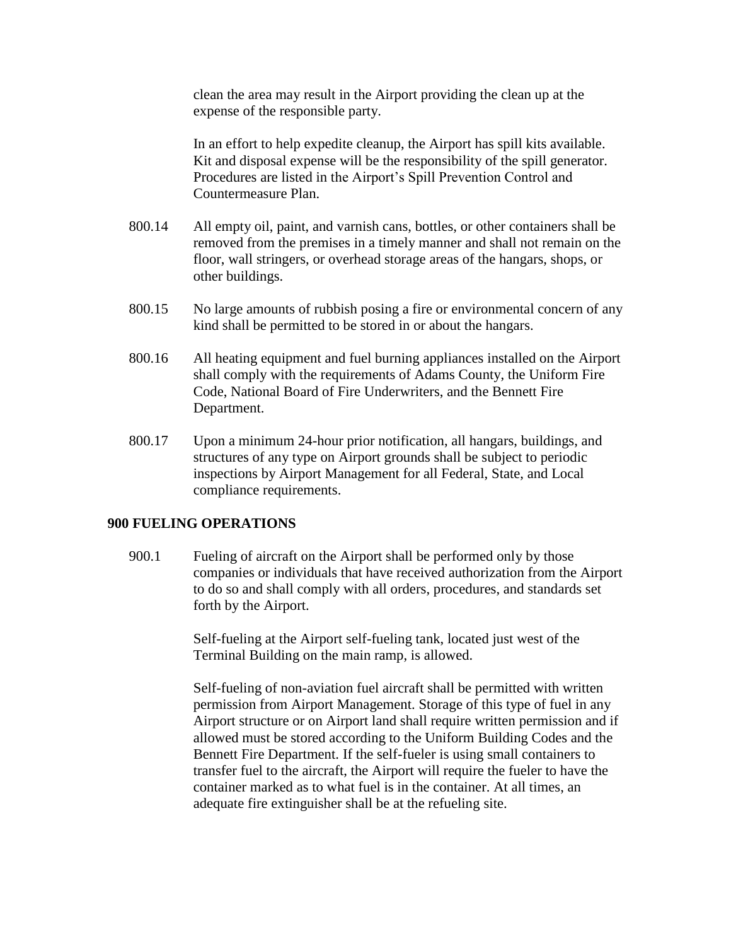clean the area may result in the Airport providing the clean up at the expense of the responsible party.

In an effort to help expedite cleanup, the Airport has spill kits available. Kit and disposal expense will be the responsibility of the spill generator. Procedures are listed in the Airport's Spill Prevention Control and Countermeasure Plan.

- 800.14 All empty oil, paint, and varnish cans, bottles, or other containers shall be removed from the premises in a timely manner and shall not remain on the floor, wall stringers, or overhead storage areas of the hangars, shops, or other buildings.
- 800.15 No large amounts of rubbish posing a fire or environmental concern of any kind shall be permitted to be stored in or about the hangars.
- 800.16 All heating equipment and fuel burning appliances installed on the Airport shall comply with the requirements of Adams County, the Uniform Fire Code, National Board of Fire Underwriters, and the Bennett Fire Department.
- 800.17 Upon a minimum 24-hour prior notification, all hangars, buildings, and structures of any type on Airport grounds shall be subject to periodic inspections by Airport Management for all Federal, State, and Local compliance requirements.

## **900 FUELING OPERATIONS**

900.1 Fueling of aircraft on the Airport shall be performed only by those companies or individuals that have received authorization from the Airport to do so and shall comply with all orders, procedures, and standards set forth by the Airport.

> Self-fueling at the Airport self-fueling tank, located just west of the Terminal Building on the main ramp, is allowed.

Self-fueling of non-aviation fuel aircraft shall be permitted with written permission from Airport Management. Storage of this type of fuel in any Airport structure or on Airport land shall require written permission and if allowed must be stored according to the Uniform Building Codes and the Bennett Fire Department. If the self-fueler is using small containers to transfer fuel to the aircraft, the Airport will require the fueler to have the container marked as to what fuel is in the container. At all times, an adequate fire extinguisher shall be at the refueling site.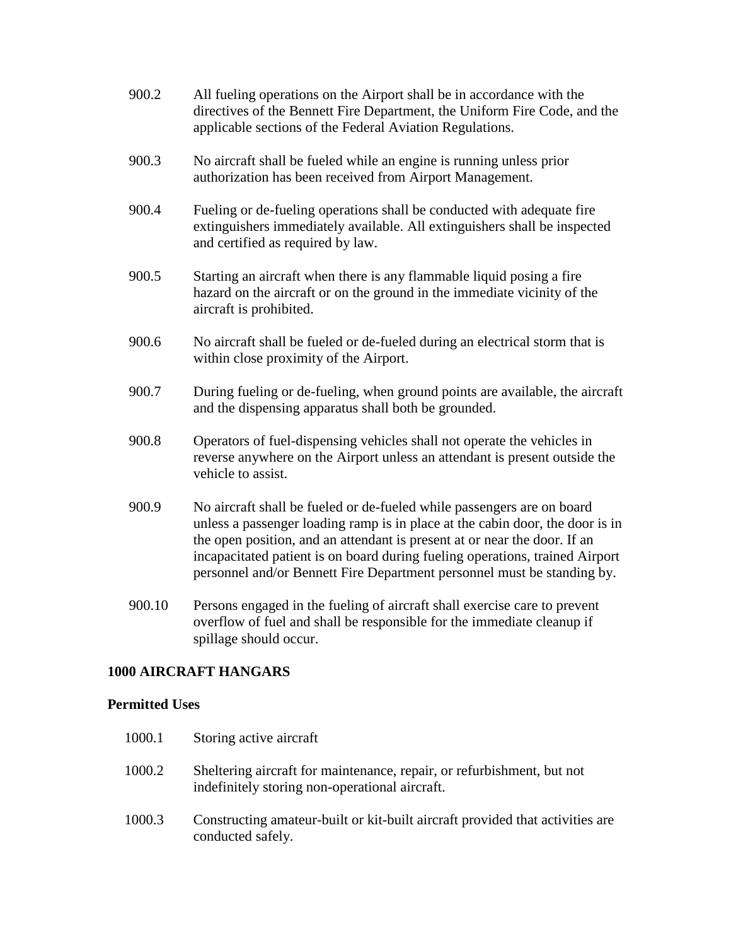- 900.2 All fueling operations on the Airport shall be in accordance with the directives of the Bennett Fire Department, the Uniform Fire Code, and the applicable sections of the Federal Aviation Regulations.
- 900.3 No aircraft shall be fueled while an engine is running unless prior authorization has been received from Airport Management.
- 900.4 Fueling or de-fueling operations shall be conducted with adequate fire extinguishers immediately available. All extinguishers shall be inspected and certified as required by law.
- 900.5 Starting an aircraft when there is any flammable liquid posing a fire hazard on the aircraft or on the ground in the immediate vicinity of the aircraft is prohibited.
- 900.6 No aircraft shall be fueled or de-fueled during an electrical storm that is within close proximity of the Airport.
- 900.7 During fueling or de-fueling, when ground points are available, the aircraft and the dispensing apparatus shall both be grounded.
- 900.8 Operators of fuel-dispensing vehicles shall not operate the vehicles in reverse anywhere on the Airport unless an attendant is present outside the vehicle to assist.
- 900.9 No aircraft shall be fueled or de-fueled while passengers are on board unless a passenger loading ramp is in place at the cabin door, the door is in the open position, and an attendant is present at or near the door. If an incapacitated patient is on board during fueling operations, trained Airport personnel and/or Bennett Fire Department personnel must be standing by.
- 900.10 Persons engaged in the fueling of aircraft shall exercise care to prevent overflow of fuel and shall be responsible for the immediate cleanup if spillage should occur.

## **1000 AIRCRAFT HANGARS**

## **Permitted Uses**

| 1000.1 | Storing active aircraft                                                                                                  |
|--------|--------------------------------------------------------------------------------------------------------------------------|
| 1000.2 | Sheltering aircraft for maintenance, repair, or refurbishment, but not<br>indefinitely storing non-operational aircraft. |
| 1000.3 | Constructing amateur-built or kit-built aircraft provided that activities are<br>conducted safely.                       |